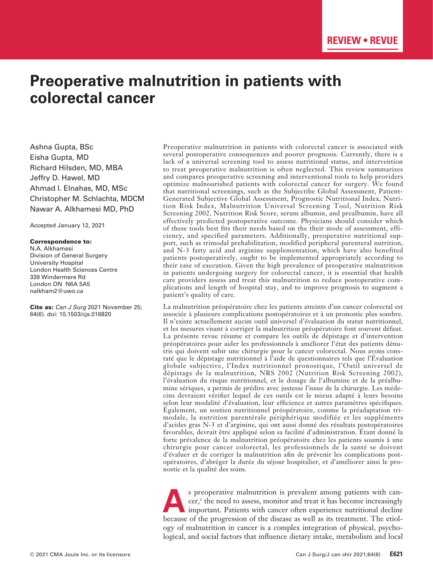# **Preoperative malnutrition in patients with colorectal cancer**

Ashna Gupta, BSc Eisha Gupta, MD Richard Hilsden, MD, MBA Jeffry D. Hawel, MD Ahmad I. Elnahas, MD, MSc Christopher M. Schlachta, MDCM Nawar A. Alkhamesi MD, PhD

Accepted January 12, 2021

#### Correspondence to:

N.A. Alkhamesi Division of General Surgery University Hospital London Health Sciences Centre 339 Windermere Rd London ON N6A 5A5 nalkham2@uwo.ca

Cite as: *Can J Surg* 2021 November 25; 64(6). doi: 10.1503/cjs.016820

Preoperative malnutrition in patients with colorectal cancer is associated with several postoperative consequences and poorer prognosis. Currently, there is a lack of a universal screening tool to assess nutritional status, and intervention to treat preoperative malnutrition is often neglected. This review summarizes and compares preoperative screening and interventional tools to help providers optimize malnourished patients with colorectal cancer for surgery. We found that nutritional screenings, such as the Subjectibe Global Assessment, Patient-Generated Subjective Global Assessment, Prognostic Nutritional Index, Nutrition Risk Index, Malnutrition Universal Screening Tool, Nutrition Risk Screening 2002, Nutrition Risk Score, serum albumin, and prealbumin, have all effectively predicted postoperative outcome. Physicians should consider which of these tools best fits their needs based on the their mode of assessment, efficiency, and specified parameters. Additionally, preoperative nutritional support, such as trimodal prehabilitation, modified peripheral parenteral nutrition, and N-3 fatty acid and arginine supplementation, which have also benefited patients postoperatively, ought to be implemented appropriately according to their ease of execution. Given the high prevalence of preoperative malnutrition in patients undergoing surgery for colorectal cancer, it is essential that health care providers assess and treat this malnutrition to reduce postoperative complications and length of hospital stay, and to improve prognosis to augment a patient's quality of care.

La malnutrition préopératoire chez les patients atteints d'un cancer colorectal est associée à plusieurs complications postopératoires et à un pronostic plus sombre. Il n'existe actuellement aucun outil universel d'évaluation du statut nutritionnel, et les mesures visant à corriger la malnutrition préopératoire font souvent défaut. La présente revue résume et compare les outils de dépistage et d'intervention préopératoires pour aider les professionnels à améliorer l'état des patients dénutris qui doivent subir une chirurgie pour le cancer colorectal. Nous avons constaté que le dépistage nutritionnel à l'aide de questionnaires tels que l'Évaluation globale subjective, l'Index nutritionnel pronostique, l'Outil universel de dépistage de la malnutrition, NRS 2002 (Nutrition Risk Screening 2002), l'évaluation du risque nutritionnel, et le dosage de l'albumine et de la préalbumine sériques, a permis de prédire avec justesse l'issue de la chirurgie. Les médecins devraient vérifier lequel de ces outils est le mieux adapté à leurs besoins selon leur modalité d'évaluation, leur efficience et autres paramètres spécifiques. Également, un soutien nutritionnel préopératoire, comme la préadaptation trimodale, la nutrition parentérale périphérique modifiée et les suppléments d'acides gras N-3 et d'arginine, qui ont aussi donné des résultats postopératoires favorables, devrait être appliqué selon sa facilité d'administration. Étant donné la forte prévalence de la malnutrition préopératoire chez les patients soumis à une chirurgie pour cancer colorectal, les professionnels de la santé se doivent d'évaluer et de corriger la malnutrition afin de prévenir les complications postopératoires, d'abréger la durée du séjour hospitalier, et d'améliorer ainsi le pronostic et la qualité des soins.

**A**s preoperative malnutrition is prevalent among patients with cancer,<sup>1</sup> the need to assess, monitor and treat it has become increasingly important. Patients with cancer often experience nutritional decline because of the progression of the disease as well as its treatment. The etiology of malnutrition in cancer is a complex integration of physical, psychological, and social factors that influence dietary intake, metabolism and local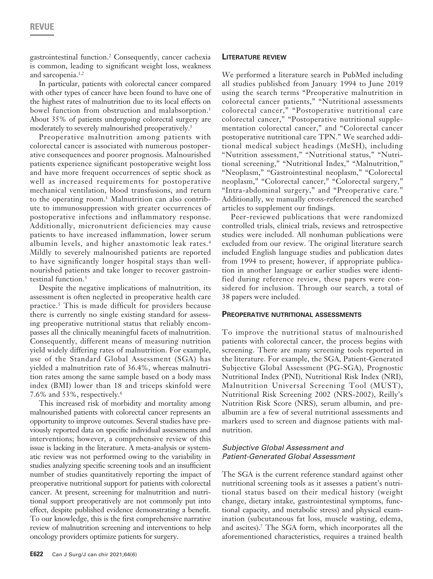gastrointestinal function.2 Consequently, cancer cachexia is common, leading to significant weight loss, weakness and sarcopenia.<sup>1,2</sup>

In particular, patients with colorectal cancer compared with other types of cancer have been found to have one of the highest rates of malnutrition due to its local effects on bowel function from obstruction and malabsorption.<sup>1</sup> About 35% of patients undergoing colorectal surgery are moderately to severely malnourished preoperatively.<sup>3</sup>

Preoperative malnutrition among patients with colorectal cancer is associated with numerous postoperative consequences and poorer prognosis. Malnourished patients experience significant postoperative weight loss and have more frequent occurrences of septic shock as well as increased requirements for postoperative mechanical ventilation, blood transfusions, and return to the operating room.<sup>1</sup> Malnutrition can also contribute to immunosuppression with greater occurrences of postoperative infections and inflammatory response. Additionally, micronutrient deficiencies may cause patients to have increased inflammation, lower serum albumin levels, and higher anastomotic leak rates.<sup>4</sup> Mildly to severely malnourished patients are reported to have significantly longer hospital stays than wellnourished patients and take longer to recover gastrointestinal function.<sup>3</sup>

Despite the negative implications of malnutrition, its assessment is often neglected in preoperative health care practice.5 This is made difficult for providers because there is currently no single existing standard for assessing preoperative nutritional status that reliably encompasses all the clinically meaningful facets of malnutrition. Consequently, different means of measuring nutrition yield widely differing rates of malnutrition. For example, use of the Standard Global Assessment (SGA) has yielded a malnutrition rate of 36.4%, whereas malnutrition rates among the same sample based on a body mass index (BMI) lower than 18 and triceps skinfold were 7.6% and 53%, respectively.6

This increased risk of morbidity and mortality among malnourished patients with colorectal cancer represents an opportunity to improve outcomes. Several studies have previously reported data on specific individual assessments and interventions; however, a comprehensive review of this issue is lacking in the literature. A meta-analysis or systematic review was not performed owing to the variability in studies analyzing specific screening tools and an insufficient number of studies quantitatively reporting the impact of preoperative nutritional support for patients with colorectal cancer. At present, screening for malnutrition and nutritional support preoperatively are not commonly put into effect, despite published evidence demonstrating a benefit. To our knowledge, this is the first comprehensive narrative review of malnutrition screening and interventions to help oncology providers optimize patients for surgery.

# **Literature review**

We performed a literature search in PubMed including all studies published from January 1994 to June 2019 using the search terms "Preoperative malnutrition in colorectal cancer patients," "Nutritional assessments colorectal cancer," "Postoperative nutritional care colorectal cancer," "Postoperative nutritional supplementation colorectal cancer," and "Colorectal cancer postoperative nutritional care TPN." We searched additional medical subject headings (MeSH), including "Nutrition assessment," "Nutritional status," "Nutritional screening," "Nutritional Index," "Malnutrition," "Neoplasm," "Gastrointestinal neoplasm," "Colorectal neoplasm," "Colorectal cancer," "Colorectal surgery," "Intra-abdominal surgery," and "Preoperative care." Additionally, we manually cross-referenced the searched articles to supplement our findings.

Peer-reviewed publications that were randomized controlled trials, clinical trials, reviews and retrospective studies were included. All nonhuman publications were excluded from our review. The original literature search included English language studies and publication dates from 1994 to present; however, if appropriate publication in another language or earlier studies were identified during reference review, these papers were considered for inclusion. Through our search, a total of 38 papers were included.

# **Preoperative nutritional assessments**

To improve the nutritional status of malnourished patients with colorectal cancer, the process begins with screening. There are many screening tools reported in the literature. For example, the SGA, Patient-Generated Subjective Global Assessment (PG-SGA), Prognostic Nutritional Index (PNI), Nutritional Risk Index (NRI), Malnutrition Universal Screening Tool (MUST), Nutritional Risk Screening 2002 (NRS-2002), Reilly's Nutrition Risk Score (NRS), serum albumin, and prealbumin are a few of several nutritional assessments and markers used to screen and diagnose patients with malnutrition.

# *Subjective Global Assessment and Patient-Generated Global Assessment*

The SGA is the current reference standard against other nutritional screening tools as it assesses a patient's nutritional status based on their medical history (weight change, dietary intake, gastrointestinal symptoms, functional capacity, and metabolic stress) and physical examination (subcutaneous fat loss, muscle wasting, edema, and ascites).7 The SGA form, which incorporates all the aforementioned characteristics, requires a trained health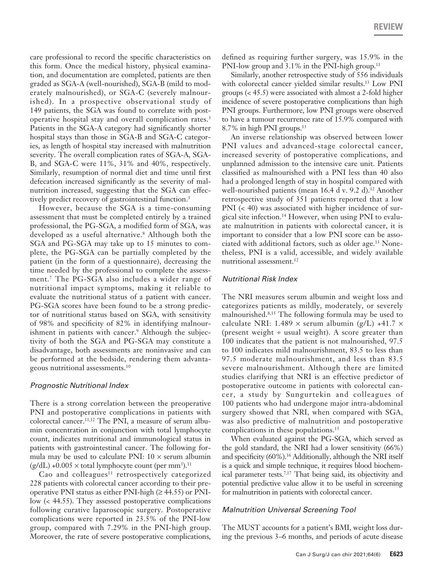care professional to record the specific characteristics on this form. Once the medical history, physical examination, and documentation are completed, patients are then graded as SGA-A (well-nourished), SGA-B (mild to moderately malnourished), or SGA-C (severely malnourished). In a prospective observational study of 149 patients, the SGA was found to correlate with postoperative hospital stay and overall complication rates.3 Patients in the SGA-A category had significantly shorter hospital stays than those in SGA-B and SGA-C categories, as length of hospital stay increased with malnutrition severity. The overall complication rates of SGA-A, SGA-B, and SGA-C were 11%, 31% and 40%, respectively. Similarly, resumption of normal diet and time until first defecation increased significantly as the severity of malnutrition increased, suggesting that the SGA can effectively predict recovery of gastrointestinal function.<sup>3</sup>

However, because the SGA is a time-consuming assessment that must be completed entirely by a trained professional, the PG-SGA, a modified form of SGA, was developed as a useful alternative.8 Although both the SGA and PG-SGA may take up to 15 minutes to complete, the PG-SGA can be partially completed by the patient (in the form of a questionnaire), decreasing the time needed by the professional to complete the assessment.7 The PG-SGA also includes a wider range of nutritional impact symptoms, making it reliable to evaluate the nutritional status of a patient with cancer. PG-SGA scores have been found to be a strong predictor of nutritional status based on SGA, with sensitivity of 98% and specificity of 82% in identifying malnourishment in patients with cancer.<sup>9</sup> Although the subjectivity of both the SGA and PG-SGA may constitute a disadvantage, both assessments are noninvasive and can be performed at the bedside, rendering them advantageous nutritional assessments.10

#### *Prognostic Nutritional Index*

There is a strong correlation between the preoperative PNI and postoperative complications in patients with colorectal cancer.11,12 The PNI, a measure of serum albumin concentration in conjunction with total lymphocyte count, indicates nutritional and immunological status in patients with gastrointestinal cancer. The following formula may be used to calculate PNI:  $10 \times$  serum albumin  $(g/dL) + 0.005 \times$  total lymphocyte count (per mm<sup>3</sup>).<sup>11</sup>

Cao and colleagues $11$  retrospectively categorized 228 patients with colorectal cancer according to their preoperative PNI status as either PNI-high  $(\geq 44.55)$  or PNIlow (< 44.55). They assessed postoperative complications following curative laparoscopic surgery. Postoperative complications were reported in 23.5% of the PNI-low group, compared with 7.29% in the PNI-high group. Moreover, the rate of severe postoperative complications,

defined as requiring further surgery, was 15.9% in the PNI-low group and 3.1% in the PNI-high group.<sup>11</sup>

Similarly, another retrospective study of 556 individuals with colorectal cancer yielded similar results.<sup>13</sup> Low PNI groups (< 45.5) were associated with almost a 2-fold higher incidence of severe postoperative complications than high PNI groups. Furthermore, low PNI groups were observed to have a tumour recurrence rate of 15.9% compared with 8.7% in high PNI groups.13

An inverse relationship was observed between lower PNI values and advanced-stage colorectal cancer, increased severity of postoperative complications, and unplanned admission to the intensive care unit. Patients classified as malnourished with a PNI less than 40 also had a prolonged length of stay in hospital compared with well-nourished patients (mean 16.4 d v. 9.2 d).<sup>12</sup> Another retrospective study of 351 patients reported that a low PNI (< 40) was associated with higher incidence of surgical site infection.14 However, when using PNI to evaluate malnutrition in patients with colorectal cancer, it is important to consider that a low PNI score can be associated with additional factors, such as older age.13 Nonetheless, PNI is a valid, accessible, and widely available nutritional assessment.<sup>12</sup>

# *Nutritional Risk Index*

The NRI measures serum albumin and weight loss and categorizes patients as mildly, moderately, or severely malnourished.8,15 The following formula may be used to calculate NRI: 1.489  $\times$  serum albumin (g/L) +41.7  $\times$ (present weight  $\div$  usual weight). A score greater than 100 indicates that the patient is not malnourished, 97.5 to 100 indicates mild malnourishment, 83.5 to less than 97.5 moderate malnourishment, and less than 83.5 severe malnourishment. Although there are limited studies clarifying that NRI is an effective predictor of postoperative outcome in patients with colorectal cancer, a study by Sungurtekin and colleagues of 100 patients who had undergone major intra-abdominal surgery showed that NRI, when compared with SGA, was also predictive of malnutrition and postoperative complications in these populations.<sup>15</sup>

When evaluated against the PG-SGA, which served as the gold standard, the NRI had a lower sensitivity (66%) and specificity (60%).<sup>16</sup> Additionally, although the NRI itself is a quick and simple technique, it requires blood biochemical parameter tests.<sup>7,17</sup> That being said, its objectivity and potential predictive value allow it to be useful in screening for malnutrition in patients with colorectal cancer.

# *Malnutrition Universal Screening Tool*

The MUST accounts for a patient's BMI, weight loss during the previous 3–6 months, and periods of acute disease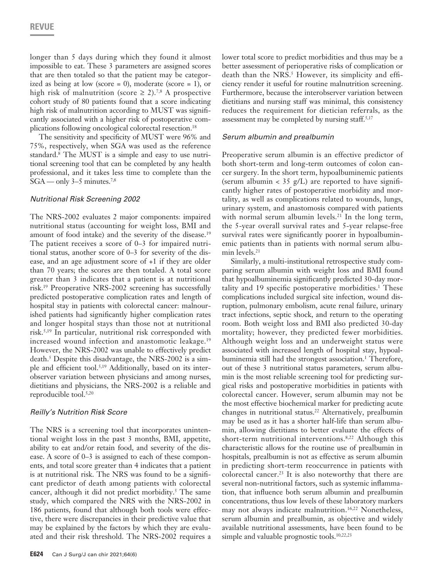longer than 5 days during which they found it almost impossible to eat. These 3 parameters are assigned scores that are then totaled so that the patient may be categorized as being at low (score = 0), moderate (score = 1), or high risk of malnutrition (score  $\geq$  2).<sup>7,8</sup> A prospective cohort study of 80 patients found that a score indicating high risk of malnutrition according to MUST was significantly associated with a higher risk of postoperative complications following oncological colorectal resection.18

The sensitivity and specificity of MUST were 96% and 75%, respectively, when SGA was used as the reference standard.8 The MUST is a simple and easy to use nutritional screening tool that can be completed by any health professional, and it takes less time to complete than the  $SGA$  — only 3–5 minutes.<sup>7,8</sup>

#### *Nutritional Risk Screening 2002*

The NRS-2002 evaluates 2 major components: impaired nutritional status (accounting for weight loss, BMI and amount of food intake) and the severity of the disease.<sup>19</sup> The patient receives a score of 0–3 for impaired nutritional status, another score of 0–3 for severity of the disease, and an age adjustment score of +1 if they are older than 70 years; the scores are then totaled. A total score greater than 3 indicates that a patient is at nutritional risk.19 Preoperative NRS-2002 screening has successfully predicted postoperative complication rates and length of hospital stay in patients with colorectal cancer: malnourished patients had significantly higher complication rates and longer hospital stays than those not at nutritional risk.5,19 In particular, nutritional risk corresponded with increased wound infection and anastomotic leakage.<sup>19</sup> However, the NRS-2002 was unable to effectively predict death.5 Despite this disadvantage, the NRS-2002 is a simple and efficient tool.5,19 Additionally, based on its interobserver variation between physicians and among nurses, dietitians and physicians, the NRS-2002 is a reliable and reproducible tool.5,20

# *Reilly's Nutrition Risk Score*

The NRS is a screening tool that incorporates unintentional weight loss in the past 3 months, BMI, appetite, ability to eat and/or retain food, and severity of the disease. A score of 0–3 is assigned to each of these components, and total score greater than 4 indicates that a patient is at nutritional risk. The NRS was found to be a significant predictor of death among patients with colorectal cancer, although it did not predict morbidity.<sup>5</sup> The same study, which compared the NRS with the NRS-2002 in 186 patients, found that although both tools were effective, there were discrepancies in their predictive value that may be explained by the factors by which they are evaluated and their risk threshold. The NRS-2002 requires a

lower total score to predict morbidities and thus may be a better assessment of perioperative risks of complication or death than the NRS.<sup>5</sup> However, its simplicity and efficiency render it useful for routine malnutrition screening. Furthermore, because the interobserver variation between dietitians and nursing staff was minimal, this consistency reduces the requirement for dietician referrals, as the assessment may be completed by nursing staff. $5,17$ 

#### *Serum albumin and prealbumin*

Preoperative serum albumin is an effective predictor of both short-term and long-term outcomes of colon cancer surgery. In the short term, hypoalbuminemic patients (serum albumin <  $35$  g/L) are reported to have significantly higher rates of postoperative morbidity and mortality, as well as complications related to wounds, lungs, urinary system, and anastomosis compared with patients with normal serum albumin levels.<sup>21</sup> In the long term, the 5-year overall survival rates and 5-year relapse-free survival rates were significantly poorer in hypoalbuminemic patients than in patients with normal serum albumin levels.<sup>21</sup>

Similarly, a multi-institutional retrospective study comparing serum albumin with weight loss and BMI found that hypoalbuminemia significantly predicted 30-day mortality and 19 specific postoperative morbidities.<sup>1</sup> These complications included surgical site infection, wound disruption, pulmonary embolism, acute renal failure, urinary tract infections, septic shock, and return to the operating room. Both weight loss and BMI also predicted 30-day mortality; however, they predicted fewer morbidities. Although weight loss and an underweight status were associated with increased length of hospital stay, hypoalbuminemia still had the strongest association.<sup>1</sup> Therefore, out of these 3 nutritional status parameters, serum albumin is the most reliable screening tool for predicting surgical risks and postoperative morbidities in patients with colorectal cancer. However, serum albumin may not be the most effective biochemical marker for predicting acute changes in nutritional status.<sup>22</sup> Alternatively, prealbumin may be used as it has a shorter half-life than serum albumin, allowing dietitians to better evaluate the effects of short-term nutritional interventions.<sup>8,22</sup> Although this characteristic allows for the routine use of prealbumin in hospitals, prealbumin is not as effective as serum albumin in predicting short-term reoccurrence in patients with colorectal cancer.23 It is also noteworthy that there are several non-nutritional factors, such as systemic inflammation, that influence both serum albumin and prealbumin concentrations, thus low levels of these laboratory markers may not always indicate malnutrition.<sup>16,22</sup> Nonetheless, serum albumin and prealbumin, as objective and widely available nutritional assessments, have been found to be simple and valuable prognostic tools.<sup>10,22,23</sup>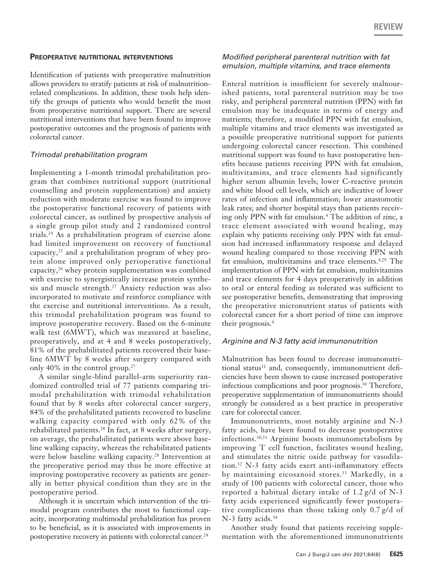#### **Preoperative nutritional interventions**

Identification of patients with preoperative malnutrition allows providers to stratify patients at risk of malnutritionrelated complications. In addition, these tools help identify the groups of patients who would benefit the most from preoperative nutritional support. There are several nutritional interventions that have been found to improve postoperative outcomes and the prognosis of patients with colorectal cancer.

# *Trimodal prehabilitation program*

Implementing a 1-month trimodal prehabilitation program that combines nutritional support (nutritional counselling and protein supplementation) and anxiety reduction with moderate exercise was found to improve the postoperative functional recovery of patients with colorectal cancer, as outlined by prospective analysis of a single group pilot study and 2 randomized control trials.24 As a prehabilitation program of exercise alone had limited improvement on recovery of functional capacity, $25$  and a prehabilitation program of whey protein alone improved only perioperative functional capacity,26 whey protein supplementation was combined with exercise to synergistically increase protein synthesis and muscle strength.<sup>27</sup> Anxiety reduction was also incorporated to motivate and reinforce compliance with the exercise and nutritional interventions. As a result, this trimodal prehabilitation program was found to improve postoperative recovery. Based on the 6-minute walk test (6MWT), which was measured at baseline, preoperatively, and at 4 and 8 weeks postoperatively, 81% of the prehabilitated patients recovered their baseline 6MWT by 8 weeks after surgery compared with only 40% in the control group.<sup>27</sup>

A similar single-blind parallel-arm superiority randomized controlled trial of 77 patients comparing trimodal prehabilitation with trimodal rehabilitation found that by 8 weeks after colorectal cancer surgery, 84% of the prehabilitated patients recovered to baseline walking capacity compared with only 62% of the rehabilitated patients.28 In fact, at 8 weeks after surgery, on average, the prehabilitated patients were above baseline walking capacity, whereas the rehabilitated patients were below baseline walking capacity.<sup>28</sup> Intervention at the preoperative period may thus be more effective at improving postoperative recovery as patients are generally in better physical condition than they are in the postoperative period.

Although it is uncertain which intervention of the trimodal program contributes the most to functional capacity, incorporating multimodal prehabilitation has proven to be beneficial, as it is associated with improvements in postoperative recovery in patients with colorectal cancer.24

# *Modified peripheral parenteral nutrition with fat emulsion, multiple vitamins, and trace elements*

Enteral nutrition is insufficient for severely malnourished patients, total parenteral nutrition may be too risky, and peripheral parenteral nutrition (PPN) with fat emulsion may be inadequate in terms of energy and nutrients; therefore, a modified PPN with fat emulsion, multiple vitamins and trace elements was investigated as a possible preoperative nutritional support for patients undergoing colorectal cancer resection. This combined nutritional support was found to have postoperative benefits because patients receiving PPN with fat emulsion, multivitamins, and trace elements had significantly higher serum albumin levels; lower C-reactive protein and white blood cell levels, which are indicative of lower rates of infection and inflammation; lower anastomotic leak rates; and shorter hospital stays than patients receiving only PPN with fat emulsion.4 The addition of zinc, a trace element associated with wound healing, may explain why patients receiving only PPN with fat emulsion had increased inflammatory response and delayed wound healing compared to those receiving PPN with fat emulsion, multivitamins and trace elements.<sup>4,29</sup> The implementation of PPN with fat emulsion, multivitamins and trace elements for 4 days preoperatively in addition to oral or enteral feeding as tolerated was sufficient to see postoperative benefits, demonstrating that improving the preoperative micronutrient status of patients with colorectal cancer for a short period of time can improve their prognosis.4

# *Arginine and N-3 fatty acid immunonutrition*

Malnutrition has been found to decrease immunonutritional status<sup>11</sup> and, consequently, immunonutrient deficiencies have been shown to cause increased postoperative infectious complications and poor prognosis.<sup>30</sup> Therefore, preoperative supplementation of immunonutrients should strongly be considered as a best practice in preoperative care for colorectal cancer.

Immunonutrients, most notably arginine and N-3 fatty acids, have been found to decrease postoperative infections.30,31 Arginine boosts immunometabolism by improving T cell function, facilitates wound healing, and stimulates the nitric oxide pathway for vasodilation.32 N-3 fatty acids exert anti-inflammatory effects by maintaining eicosanoid stores.<sup>33</sup> Markedly, in a study of 100 patients with colorectal cancer, those who reported a habitual dietary intake of 1.2 g/d of N-3 fatty acids experienced significantly fewer postoperative complications than those taking only 0.7 g/d of N-3 fatty acids.<sup>34</sup>

Another study found that patients receiving supplementation with the aforementioned immunonutrients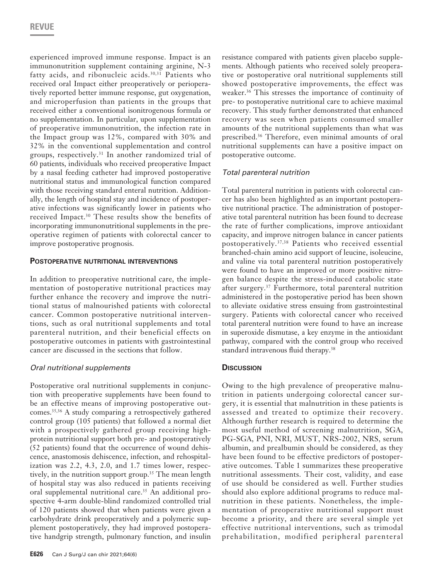experienced improved immune response. Impact is an immunonutrition supplement containing arginine, N-3 fatty acids, and ribonucleic acids.<sup>30,31</sup> Patients who received oral Impact either preoperatively or perioperatively reported better immune response, gut oxygenation, and microperfusion than patients in the groups that received either a conventional isonitrogenous formula or no supplementation. In particular, upon supplementation of preoperative immunonutrition, the infection rate in the Impact group was 12%, compared with 30% and 32% in the conventional supplementation and control groups, respectively.31 In another randomized trial of 60 patients, individuals who received preoperative Impact by a nasal feeding catheter had improved postoperative nutritional status and immunological function compared with those receiving standard enteral nutrition. Additionally, the length of hospital stay and incidence of postoperative infections was significantly lower in patients who received Impact.30 These results show the benefits of incorporating immunonutritional supplements in the preoperative regimen of patients with colorectal cancer to improve postoperative prognosis.

# **Postoperative nutritional interventions**

In addition to preoperative nutritional care, the implementation of postoperative nutritional practices may further enhance the recovery and improve the nutritional status of malnourished patients with colorectal cancer. Common postoperative nutritional interventions, such as oral nutritional supplements and total parenteral nutrition, and their beneficial effects on postoperative outcomes in patients with gastrointestinal cancer are discussed in the sections that follow.

# *Oral nutritional supplements*

Postoperative oral nutritional supplements in conjunction with preoperative supplements have been found to be an effective means of improving postoperative outcomes.35,36 A study comparing a retrospectively gathered control group (105 patients) that followed a normal diet with a prospectively gathered group receiving highprotein nutritional support both pre- and postoperatively (52 patients) found that the occurrence of wound dehiscence, anastomosis dehiscence, infection, and rehospitalization was 2.2, 4.3, 2.0, and 1.7 times lower, respectively, in the nutrition support group.<sup>35</sup> The mean length of hospital stay was also reduced in patients receiving oral supplemental nutritional care.<sup>35</sup> An additional prospective 4-arm double-blind randomized controlled trial of 120 patients showed that when patients were given a carbohydrate drink preoperatively and a polymeric supplement postoperatively, they had improved postoperative handgrip strength, pulmonary function, and insulin

resistance compared with patients given placebo supplements. Although patients who received solely preoperative or postoperative oral nutritional supplements still showed postoperative improvements, the effect was weaker.<sup>36</sup> This stresses the importance of continuity of pre- to postoperative nutritional care to achieve maximal recovery. This study further demonstrated that enhanced recovery was seen when patients consumed smaller amounts of the nutritional supplements than what was prescribed.<sup>36</sup> Therefore, even minimal amounts of oral nutritional supplements can have a positive impact on postoperative outcome.

# *Total parenteral nutrition*

Total parenteral nutrition in patients with colorectal cancer has also been highlighted as an important postoperative nutritional practice. The administration of postoperative total parenteral nutrition has been found to decrease the rate of further complications, improve antioxidant capacity, and improve nitrogen balance in cancer patients postoperatively.37,38 Patients who received essential branched-chain amino acid support of leucine, isoleucine, and valine via total parenteral nutrition postoperatively were found to have an improved or more positive nitrogen balance despite the stress-induced catabolic state after surgery.<sup>37</sup> Furthermore, total parenteral nutrition administered in the postoperative period has been shown to alleviate oxidative stress ensuing from gastrointestinal surgery. Patients with colorectal cancer who received total parenteral nutrition were found to have an increase in superoxide dismutase, a key enzyme in the antioxidant pathway, compared with the control group who received standard intravenous fluid therapy.<sup>38</sup>

# **Discussion**

Owing to the high prevalence of preoperative malnutrition in patients undergoing colorectal cancer surgery, it is essential that malnutrition in these patients is assessed and treated to optimize their recovery. Although further research is required to determine the most useful method of screening malnutrition, SGA, PG-SGA, PNI, NRI, MUST, NRS-2002, NRS, serum albumin, and prealbumin should be considered, as they have been found to be effective predictors of postoperative outcomes. Table 1 summarizes these preoperative nutritional assessments. Their cost, validity, and ease of use should be considered as well. Further studies should also explore additional programs to reduce malnutrition in these patients. Nonetheless, the implementation of preoperative nutritional support must become a priority, and there are several simple yet effective nutritional interventions, such as trimodal prehabilitation, modified peripheral parenteral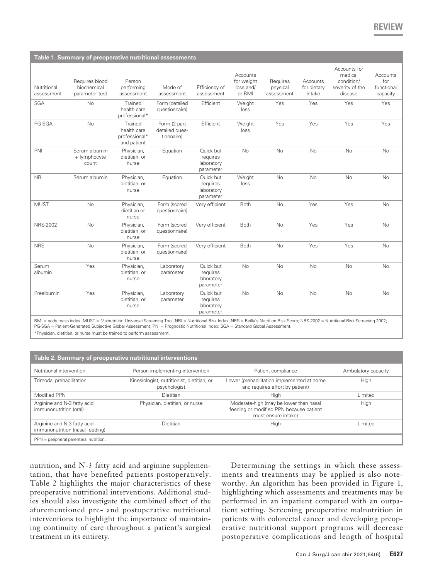| Table 1. Summary of preoperative nutritional assessments |                                                 |                                                        |                                              |                                                  |                                               |                                    |                                   |                                                                     |                                           |
|----------------------------------------------------------|-------------------------------------------------|--------------------------------------------------------|----------------------------------------------|--------------------------------------------------|-----------------------------------------------|------------------------------------|-----------------------------------|---------------------------------------------------------------------|-------------------------------------------|
| Nutritional<br>assessment                                | Requires blood<br>biochemical<br>parameter test | Person<br>performing<br>assessment                     | Mode of<br>assessment                        | Efficiency of<br>assessment                      | Accounts<br>for weight<br>loss and/<br>or BMI | Requires<br>physical<br>assessment | Accounts<br>for dietary<br>intake | Accounts for<br>medical<br>condition/<br>severity of the<br>disease | Accounts<br>for<br>functional<br>capacity |
| <b>SGA</b>                                               | No                                              | Trained<br>health care<br>professional*                | Form (detailed<br>questionnaire)             | Efficient                                        | Weight<br>loss                                | Yes                                | Yes                               | Yes                                                                 | Yes                                       |
| PG-SGA                                                   | <b>No</b>                                       | Trained<br>health care<br>professional*<br>and patient | Form (2-part<br>detailed ques-<br>tionnaire) | Efficient                                        | Weight<br>loss                                | Yes                                | Yes                               | Yes                                                                 | Yes                                       |
| PNI                                                      | Serum albumin<br>+ lymphocyte<br>count          | Physician,<br>dietitian, or<br>nurse                   | Equation                                     | Quick but<br>requires<br>laboratory<br>parameter | <b>No</b>                                     | No                                 | <b>No</b>                         | No                                                                  | No                                        |
| <b>NRI</b>                                               | Serum albumin                                   | Physician,<br>dietitian, or<br>nurse                   | Equation                                     | Quick but<br>requires<br>laboratory<br>parameter | Weight<br>loss                                | No                                 | <b>No</b>                         | <b>No</b>                                                           | <b>No</b>                                 |
| <b>MUST</b>                                              | <b>No</b>                                       | Physician,<br>dietitian or<br>nurse                    | Form (scored<br>questionnaire)               | Very efficient                                   | Both                                          | <b>No</b>                          | Yes                               | Yes                                                                 | <b>No</b>                                 |
| <b>NRS-2002</b>                                          | <b>No</b>                                       | Physician,<br>dietitian, or<br>nurse                   | Form (scored<br>questionnaire)               | Very efficient                                   | Both                                          | <b>No</b>                          | Yes                               | Yes                                                                 | <b>No</b>                                 |
| <b>NRS</b>                                               | No                                              | Physician,<br>dietitian, or<br>nurse                   | Form (scored<br>questionnaire)               | Very efficient                                   | Both                                          | No                                 | Yes                               | Yes                                                                 | No                                        |
| Serum<br>albumin                                         | Yes                                             | Physician,<br>dietitian, or<br>nurse                   | Laboratory<br>parameter                      | Quick but<br>requires<br>laboratory<br>parameter | No                                            | No                                 | <b>No</b>                         | No                                                                  | No                                        |
| Prealbumin                                               | Yes                                             | Physician,<br>dietitian, or<br>nurse                   | Laboratory<br>parameter                      | Quick but<br>requires<br>laboratory<br>parameter | <b>No</b>                                     | <b>No</b>                          | <b>No</b>                         | <b>No</b>                                                           | <b>No</b>                                 |

BMI = body mass index; MUST = Malnutrition Universal Screening Tool; NRI = Nutritional Risk Index; NRS = Reilly's Nutrition Risk Score; NRS-2002 = Nutritional Risk Screening 2002;<br>PG-SGA = Patient-Generated Subjective Glob

\*Physician, dietitian, or nurse must be trained to perform assessment.

| Table 2. Summary of preoperative nutritional interventions     |                                                            |                                                                                                          |                     |  |  |  |  |  |  |
|----------------------------------------------------------------|------------------------------------------------------------|----------------------------------------------------------------------------------------------------------|---------------------|--|--|--|--|--|--|
| Nutritional intervention                                       | Person implementing intervention                           | Patient compliance                                                                                       | Ambulatory capacity |  |  |  |  |  |  |
| Trimodal prehabilitation                                       | Kinesiologist, nutritionist, dietitian, or<br>psychologist | Lower (prehabilitation implemented at home<br>and requires effort by patient)                            | High                |  |  |  |  |  |  |
| Modified PPN                                                   | Dietitian                                                  | High                                                                                                     | Limited             |  |  |  |  |  |  |
| Arginine and N-3 fatty acid<br>immunonutrition (oral)          | Physician, dietitian, or nurse                             | Moderate-high (may be lower than nasal<br>feeding or modified PPN because patient<br>must ensure intake) | High                |  |  |  |  |  |  |
| Arginine and N-3 fatty acid<br>immunonutrition (nasal feeding) | Dietitian                                                  | High                                                                                                     | Limited             |  |  |  |  |  |  |
| PPN = peripheral parenteral nutrition.                         |                                                            |                                                                                                          |                     |  |  |  |  |  |  |

nutrition, and N-3 fatty acid and arginine supplementation, that have benefited patients postoperatively. Table 2 highlights the major characteristics of these preoperative nutritional interventions. Additional studies should also investigate the combined effect of the aforementioned pre- and postoperative nutritional interventions to highlight the importance of maintaining continuity of care throughout a patient's surgical treatment in its entirety.

Determining the settings in which these assessments and treatments may be applied is also noteworthy. An algorithm has been provided in Figure 1, highlighting which assessments and treatments may be performed in an inpatient compared with an outpatient setting. Screening preoperative malnutrition in patients with colorectal cancer and developing preoperative nutritional support programs will decrease postoperative complications and length of hospital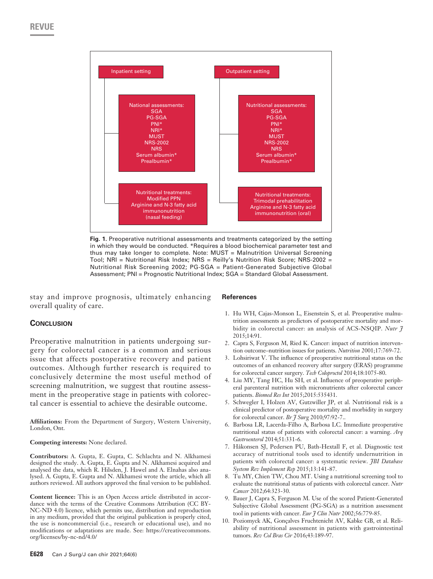

**Fig. 1.** Preoperative nutritional assessments and treatments categorized by the setting in which they would be conducted. \*Requires a blood biochemical parameter test and thus may take longer to complete. Note: MUST = Malnutrition Universal Screening Tool; NRI = Nutritional Risk Index; NRS = Reilly's Nutrition Risk Score; NRS-2002 = Nutritional Risk Screening 2002; PG-SGA = Patient-Generated Subjective Global Assessment; PNI = Prognostic Nutritional Index; SGA = Standard Global Assessment.

stay and improve prognosis, ultimately enhancing overall quality of care.

# **Conclusion**

Preoperative malnutrition in patients undergoing surgery for colorectal cancer is a common and serious issue that affects postoperative recovery and patient outcomes. Although further research is required to conclusively determine the most useful method of screening malnutrition, we suggest that routine assessment in the preoperative stage in patients with colorectal cancer is essential to achieve the desirable outcome.

**Affiliations:** From the Department of Surgery, Western University, London, Ont.

#### **Competing interests:** None declared.

**Contributors:** A. Gupta, E. Gupta, C. Schlachta and N. Alkhamesi designed the study. A. Gupta, E. Gupta and N. Alkhamesi acquired and analysed the data, which R. Hilsden, J. Hawel and A. Elnahas also analysed. A. Gupta, E. Gupta and N. Alkhamesi wrote the article, which all authors reviewed. All authors approved the final version to be published.

**Content licence:** This is an Open Access article distributed in accordance with the terms of the Creative Commons Attribution (CC BY-NC-ND 4.0) licence, which permits use, distribution and reproduction in any medium, provided that the original publication is properly cited, the use is noncommercial (i.e., research or educational use), and no modifications or adaptations are made. See: https://creativecommons. org/licenses/by-nc-nd/4.0/

#### **References**

- 1. Hu WH, Cajas-Monson L, Eisenstein S, et al. Preoperative malnutrition assessments as predictors of postoperative mortality and morbidity in colorectal cancer: an analysis of ACS-NSQIP. *Nutr J*  2015;14:91.
- 2. Capra S, Ferguson M, Ried K. Cancer: impact of nutrition intervention outcome–nutrition issues for patients. *Nutrition* 2001;17:769-72.
- 3. Lohsiriwat V. The influence of preoperative nutritional status on the outcomes of an enhanced recovery after surgery (ERAS) programme for colorectal cancer surgery. *Tech Coloproctol* 2014;18:1075-80.
- 4. Liu MY, Tang HC, Hu SH, et al. Influence of preoperative peripheral parenteral nutrition with micronutrients after colorectal cancer patients. *Biomed Res Int* 2015;2015:535431.
- 5. Schwegler I, Holzen AV, Gutzwiller JP, et al. Nutritional risk is a clinical predictor of postoperative mortality and morbidity in surgery for colorectal cancer. *Br J Surg* 2010;97:92-7..
- 6. Barbosa LR, Lacerda-Filho A, Barbosa LC. Immediate preoperative nutritional status of patients with colorectal cancer: a warning. *Arq Gastroenterol* 2014;51:331-6.
- 7. Håkonsen SJ, Pedersen PU, Bath-Hextall F, et al. Diagnostic test accuracy of nutritional tools used to identify undernutrition in patients with colorectal cancer: a systematic review. *JBI Database System Rev Implement Rep* 2015;13:141-87.
- 8. Tu MY, Chien TW, Chou MT. Using a nutritional screening tool to evaluate the nutritional status of patients with colorectal cancer. *Nutr Cancer* 2012;64:323-30.
- 9. Bauer J, Capra S, Ferguson M. Use of the scored Patient-Generated Subjective Global Assessment (PG-SGA) as a nutrition assessment tool in patients with cancer. *Eur J Clin Nutr* 2002;56:779-85.
- 10. Poziomyck AK, Gonçalves Fruchtenicht AV, Kabke GB, et al. Reliability of nutritional assessment in patients with gastrointestinal tumors. *Rev Col Bras Cir* 2016;43:189-97.